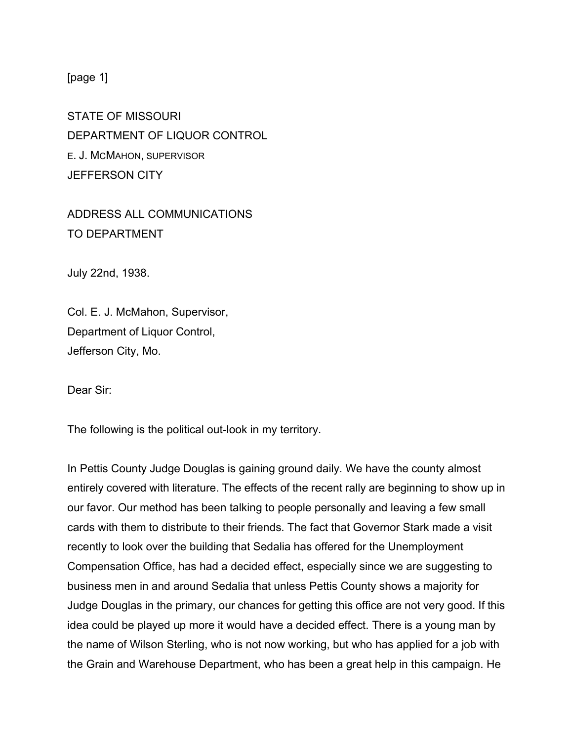[page 1]

STATE OF MISSOURI DEPARTMENT OF LIQUOR CONTROL E. J. MCMAHON, SUPERVISOR JEFFERSON CITY

ADDRESS ALL COMMUNICATIONS TO DEPARTMENT

July 22nd, 1938.

Col. E. J. McMahon, Supervisor, Department of Liquor Control, Jefferson City, Mo.

Dear Sir:

The following is the political out-look in my territory.

In Pettis County Judge Douglas is gaining ground daily. We have the county almost entirely covered with literature. The effects of the recent rally are beginning to show up in our favor. Our method has been talking to people personally and leaving a few small cards with them to distribute to their friends. The fact that Governor Stark made a visit recently to look over the building that Sedalia has offered for the Unemployment Compensation Office, has had a decided effect, especially since we are suggesting to business men in and around Sedalia that unless Pettis County shows a majority for Judge Douglas in the primary, our chances for getting this office are not very good. If this idea could be played up more it would have a decided effect. There is a young man by the name of Wilson Sterling, who is not now working, but who has applied for a job with the Grain and Warehouse Department, who has been a great help in this campaign. He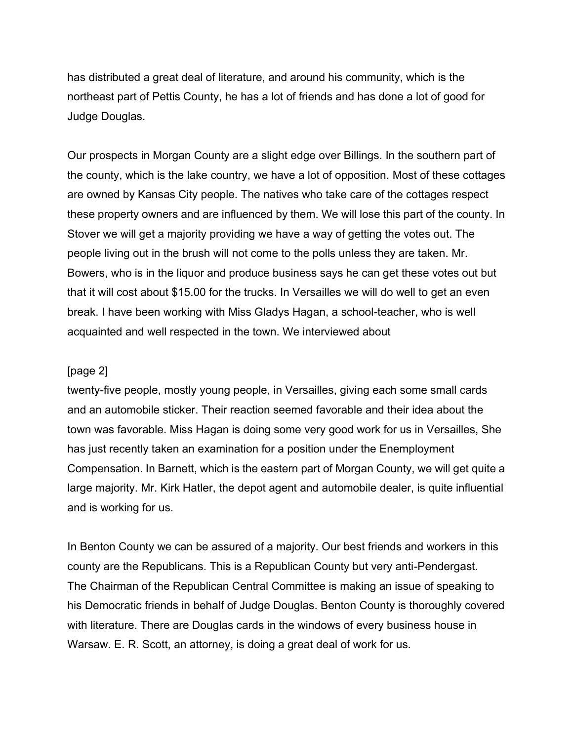has distributed a great deal of literature, and around his community, which is the northeast part of Pettis County, he has a lot of friends and has done a lot of good for Judge Douglas.

Our prospects in Morgan County are a slight edge over Billings. In the southern part of the county, which is the lake country, we have a lot of opposition. Most of these cottages are owned by Kansas City people. The natives who take care of the cottages respect these property owners and are influenced by them. We will lose this part of the county. In Stover we will get a majority providing we have a way of getting the votes out. The people living out in the brush will not come to the polls unless they are taken. Mr. Bowers, who is in the liquor and produce business says he can get these votes out but that it will cost about \$15.00 for the trucks. In Versailles we will do well to get an even break. I have been working with Miss Gladys Hagan, a school-teacher, who is well acquainted and well respected in the town. We interviewed about

## [page 2]

twenty-five people, mostly young people, in Versailles, giving each some small cards and an automobile sticker. Their reaction seemed favorable and their idea about the town was favorable. Miss Hagan is doing some very good work for us in Versailles, She has just recently taken an examination for a position under the Enemployment Compensation. In Barnett, which is the eastern part of Morgan County, we will get quite a large majority. Mr. Kirk Hatler, the depot agent and automobile dealer, is quite influential and is working for us.

In Benton County we can be assured of a majority. Our best friends and workers in this county are the Republicans. This is a Republican County but very anti-Pendergast. The Chairman of the Republican Central Committee is making an issue of speaking to his Democratic friends in behalf of Judge Douglas. Benton County is thoroughly covered with literature. There are Douglas cards in the windows of every business house in Warsaw. E. R. Scott, an attorney, is doing a great deal of work for us.